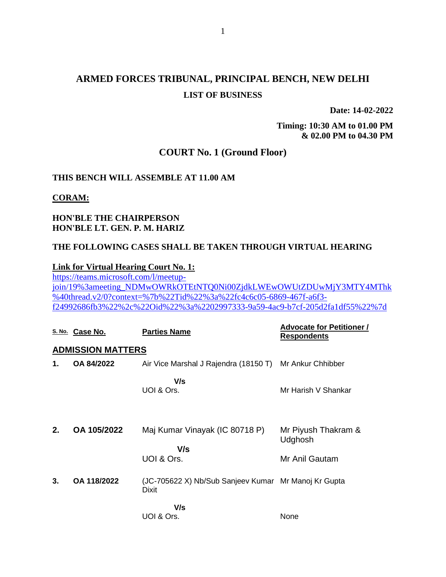# **ARMED FORCES TRIBUNAL, PRINCIPAL BENCH, NEW DELHI LIST OF BUSINESS**

**Date: 14-02-2022**

**Timing: 10:30 AM to 01.00 PM & 02.00 PM to 04.30 PM**

## **COURT No. 1 (Ground Floor)**

#### **THIS BENCH WILL ASSEMBLE AT 11.00 AM**

#### **CORAM:**

### **HON'BLE THE CHAIRPERSON HON'BLE LT. GEN. P. M. HARIZ**

#### **THE FOLLOWING CASES SHALL BE TAKEN THROUGH VIRTUAL HEARING**

#### **Link for Virtual Hearing Court No. 1:**

[https://teams.microsoft.com/l/meetup](https://teams.microsoft.com/l/meetup-join/19%3ameeting_NDMwOWRkOTEtNTQ0Ni00ZjdkLWEwOWUtZDUwMjY3MTY4MThk%40thread.v2/0?context=%7b%22Tid%22%3a%22fc4c6c05-6869-467f-a6f3-f24992686fb3%22%2c%22Oid%22%3a%2202997333-9a59-4ac9-b7cf-205d2fa1df55%22%7d)[join/19%3ameeting\\_NDMwOWRkOTEtNTQ0Ni00ZjdkLWEwOWUtZDUwMjY3MTY4MThk](https://teams.microsoft.com/l/meetup-join/19%3ameeting_NDMwOWRkOTEtNTQ0Ni00ZjdkLWEwOWUtZDUwMjY3MTY4MThk%40thread.v2/0?context=%7b%22Tid%22%3a%22fc4c6c05-6869-467f-a6f3-f24992686fb3%22%2c%22Oid%22%3a%2202997333-9a59-4ac9-b7cf-205d2fa1df55%22%7d) [%40thread.v2/0?context=%7b%22Tid%22%3a%22fc4c6c05-6869-467f-a6f3](https://teams.microsoft.com/l/meetup-join/19%3ameeting_NDMwOWRkOTEtNTQ0Ni00ZjdkLWEwOWUtZDUwMjY3MTY4MThk%40thread.v2/0?context=%7b%22Tid%22%3a%22fc4c6c05-6869-467f-a6f3-f24992686fb3%22%2c%22Oid%22%3a%2202997333-9a59-4ac9-b7cf-205d2fa1df55%22%7d) [f24992686fb3%22%2c%22Oid%22%3a%2202997333-9a59-4ac9-b7cf-205d2fa1df55%22%7d](https://teams.microsoft.com/l/meetup-join/19%3ameeting_NDMwOWRkOTEtNTQ0Ni00ZjdkLWEwOWUtZDUwMjY3MTY4MThk%40thread.v2/0?context=%7b%22Tid%22%3a%22fc4c6c05-6869-467f-a6f3-f24992686fb3%22%2c%22Oid%22%3a%2202997333-9a59-4ac9-b7cf-205d2fa1df55%22%7d)

|    | S. No. Case No.          | <b>Parties Name</b>                                                  | <b>Advocate for Petitioner /</b><br><b>Respondents</b> |
|----|--------------------------|----------------------------------------------------------------------|--------------------------------------------------------|
|    | <b>ADMISSION MATTERS</b> |                                                                      |                                                        |
| 1. | OA 84/2022               | Air Vice Marshal J Rajendra (18150 T) Mr Ankur Chhibber              |                                                        |
|    |                          | V/s<br>UOI & Ors.                                                    | Mr Harish V Shankar                                    |
| 2. | OA 105/2022              | Maj Kumar Vinayak (IC 80718 P)<br>V/s<br>UOI & Ors.                  | Mr Piyush Thakram &<br>Udghosh<br>Mr Anil Gautam       |
| 3. | OA 118/2022              | (JC-705622 X) Nb/Sub Sanjeev Kumar Mr Manoj Kr Gupta<br><b>Dixit</b> |                                                        |
|    |                          | V/s<br>UOI & Ors.                                                    | None                                                   |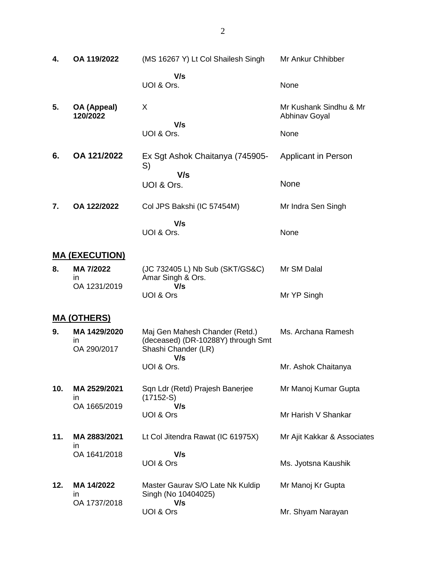| 4.  | OA 119/2022                       | (MS 16267 Y) Lt Col Shailesh Singh                                                                 | Mr Ankur Chhibber                              |
|-----|-----------------------------------|----------------------------------------------------------------------------------------------------|------------------------------------------------|
|     |                                   | V/s<br>UOI & Ors.                                                                                  | None                                           |
| 5.  | OA (Appeal)<br>120/2022           | X                                                                                                  | Mr Kushank Sindhu & Mr<br><b>Abhinav Goyal</b> |
|     |                                   | V/s<br>UOI & Ors.                                                                                  | None                                           |
| 6.  | OA 121/2022                       | Ex Sgt Ashok Chaitanya (745905-<br>S)                                                              | Applicant in Person                            |
|     |                                   | V/s<br>UOI & Ors.                                                                                  | None                                           |
| 7.  | OA 122/2022                       | Col JPS Bakshi (IC 57454M)                                                                         | Mr Indra Sen Singh                             |
|     |                                   | V/s<br>UOI & Ors.                                                                                  | None                                           |
|     | <b>MA (EXECUTION)</b>             |                                                                                                    |                                                |
| 8.  | MA 7/2022<br>in                   | (JC 732405 L) Nb Sub (SKT/GS&C)<br>Amar Singh & Ors.                                               | Mr SM Dalal                                    |
|     | OA 1231/2019                      | V/s<br>UOI & Ors                                                                                   | Mr YP Singh                                    |
|     | <u>MA (OTHERS)</u>                |                                                                                                    |                                                |
| 9.  | MA 1429/2020<br>in<br>OA 290/2017 | Maj Gen Mahesh Chander (Retd.)<br>(deceased) (DR-10288Y) through Smt<br>Shashi Chander (LR)<br>V/s | Ms. Archana Ramesh                             |
|     |                                   | UOI & Ors.                                                                                         | Mr. Ashok Chaitanya                            |
| 10. | MA 2529/2021<br>ın                | Sqn Ldr (Retd) Prajesh Banerjee<br>$(17152-S)$<br>V/s                                              | Mr Manoj Kumar Gupta                           |
|     | OA 1665/2019                      | UOI & Ors                                                                                          | Mr Harish V Shankar                            |
| 11. | MA 2883/2021<br>in                | Lt Col Jitendra Rawat (IC 61975X)                                                                  | Mr Ajit Kakkar & Associates                    |
|     | OA 1641/2018                      | V/s<br>UOI & Ors                                                                                   | Ms. Jyotsna Kaushik                            |
| 12. | MA 14/2022<br>in<br>OA 1737/2018  | Master Gaurav S/O Late Nk Kuldip<br>Singh (No 10404025)<br>V/s                                     | Mr Manoj Kr Gupta                              |
|     |                                   | UOI & Ors                                                                                          | Mr. Shyam Narayan                              |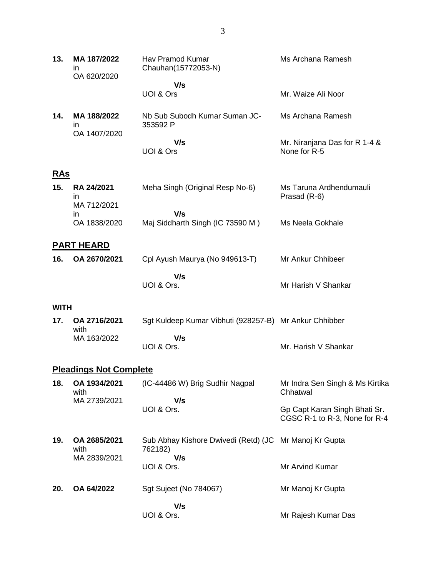| 13.         | MA 187/2022<br>ın<br>OA 620/2020  | Hav Pramod Kumar<br>Chauhan(15772053-N)                | Ms Archana Ramesh                                              |
|-------------|-----------------------------------|--------------------------------------------------------|----------------------------------------------------------------|
|             |                                   | V/s<br>UOI & Ors                                       | Mr. Waize Ali Noor                                             |
| 14.         | MA 188/2022<br>in<br>OA 1407/2020 | Nb Sub Subodh Kumar Suman JC-<br>353592 P              | Ms Archana Ramesh                                              |
|             |                                   | V/s<br>UOI & Ors                                       | Mr. Niranjana Das for R 1-4 &<br>None for R-5                  |
| <u>RAs</u>  |                                   |                                                        |                                                                |
| 15.         | <b>RA 24/2021</b><br>in           | Meha Singh (Original Resp No-6)                        | Ms Taruna Ardhendumauli<br>Prasad (R-6)                        |
|             | MA 712/2021<br>in                 | V/s                                                    |                                                                |
|             | OA 1838/2020                      | Maj Siddharth Singh (IC 73590 M)                       | Ms Neela Gokhale                                               |
|             | <b>PART HEARD</b>                 |                                                        |                                                                |
| 16.         | OA 2670/2021                      | Cpl Ayush Maurya (No 949613-T)                         | Mr Ankur Chhibeer                                              |
|             |                                   | V/s<br>UOI & Ors.                                      | Mr Harish V Shankar                                            |
| <b>WITH</b> |                                   |                                                        |                                                                |
| 17.         | OA 2716/2021<br>with              | Sgt Kuldeep Kumar Vibhuti (928257-B) Mr Ankur Chhibber |                                                                |
|             | MA 163/2022                       | V/s<br>UOI & Ors.                                      | Mr. Harish V Shankar                                           |
|             | <b>Pleadings Not Complete</b>     |                                                        |                                                                |
| 18.         | OA 1934/2021<br>with              | (IC-44486 W) Brig Sudhir Nagpal                        | Mr Indra Sen Singh & Ms Kirtika<br>Chhatwal                    |
|             | MA 2739/2021                      | V/s<br>UOI & Ors.                                      | Gp Capt Karan Singh Bhati Sr.<br>CGSC R-1 to R-3, None for R-4 |
| 19.         | OA 2685/2021<br>with              | Sub Abhay Kishore Dwivedi (Retd) (JC<br>762182)        | Mr Manoj Kr Gupta                                              |
|             | MA 2839/2021                      | V/s<br>UOI & Ors.                                      | Mr Arvind Kumar                                                |
| 20.         | OA 64/2022                        | Sgt Sujeet (No 784067)                                 | Mr Manoj Kr Gupta                                              |
|             |                                   | V/s<br>UOI & Ors.                                      | Mr Rajesh Kumar Das                                            |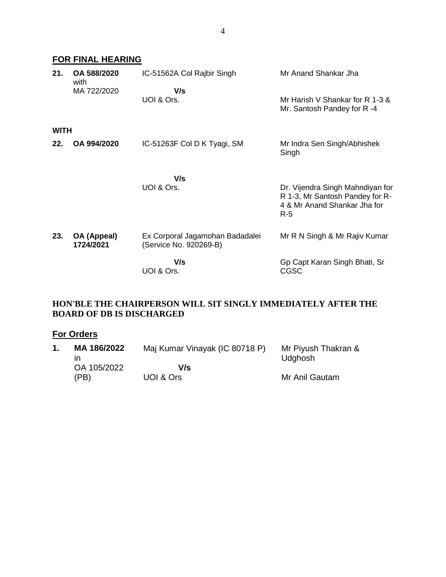# **FOR FINAL HEARING**

| 21.         | OA 588/2020<br>with<br>MA 722/2020 | IC-51562A Col Rajbir Singh<br>V/s<br>UOI & Ors.           | Mr Anand Shankar Jha<br>Mr Harish V Shankar for R 1-3 &                                                      |
|-------------|------------------------------------|-----------------------------------------------------------|--------------------------------------------------------------------------------------------------------------|
|             |                                    |                                                           | Mr. Santosh Pandey for R-4                                                                                   |
| <b>WITH</b> |                                    |                                                           |                                                                                                              |
| 22.         | OA 994/2020                        | IC-51263F Col D K Tyagi, SM                               | Mr Indra Sen Singh/Abhishek<br>Singh                                                                         |
|             |                                    |                                                           |                                                                                                              |
|             |                                    | V/s<br>UOI & Ors.                                         | Dr. Vijendra Singh Mahndiyan for<br>R 1-3, Mr Santosh Pandey for R-<br>4 & Mr Anand Shankar Jha for<br>$R-5$ |
| 23.         | OA (Appeal)<br>1724/2021           | Ex Corporal Jagamohan Badadalei<br>(Service No. 920269-B) | Mr R N Singh & Mr Rajiv Kumar                                                                                |
|             |                                    | V/s<br>UOI & Ors.                                         | Gp Capt Karan Singh Bhati, Sr<br><b>CGSC</b>                                                                 |

## **HON'BLE THE CHAIRPERSON WILL SIT SINGLY IMMEDIATELY AFTER THE BOARD OF DB IS DISCHARGED**

# **For Orders**

| MA 186/2022 | Maj Kumar Vinayak (IC 80718 P) | Mr Piyush Thakran &<br>Udghosh |
|-------------|--------------------------------|--------------------------------|
| OA 105/2022 | V/s                            |                                |
| (PB)        | UOI & Ors                      | Mr Anil Gautam                 |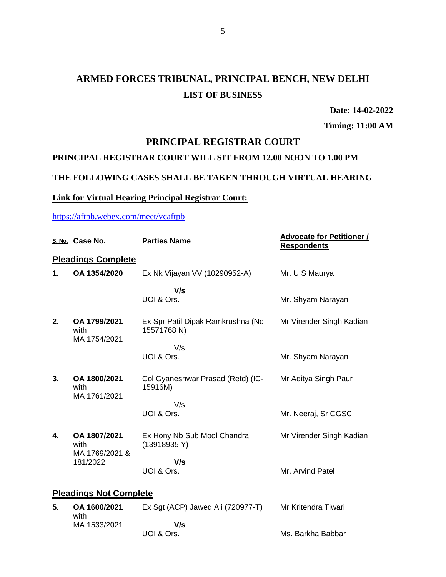# **ARMED FORCES TRIBUNAL, PRINCIPAL BENCH, NEW DELHI LIST OF BUSINESS**

**Date: 14-02-2022**

**Timing: 11:00 AM**

# **PRINCIPAL REGISTRAR COURT**

# **PRINCIPAL REGISTRAR COURT WILL SIT FROM 12.00 NOON TO 1.00 PM**

# **THE FOLLOWING CASES SHALL BE TAKEN THROUGH VIRTUAL HEARING**

## **Link for Virtual Hearing Principal Registrar Court:**

### <https://aftpb.webex.com/meet/vcaftpb>

|    | S. No. Case No.                                    | <b>Parties Name</b>                              | <b>Advocate for Petitioner /</b><br><b>Respondents</b> |
|----|----------------------------------------------------|--------------------------------------------------|--------------------------------------------------------|
|    | <b>Pleadings Complete</b>                          |                                                  |                                                        |
| 1. | OA 1354/2020                                       | Ex Nk Vijayan VV (10290952-A)                    | Mr. U S Maurya                                         |
|    |                                                    | V/s<br>UOI & Ors.                                | Mr. Shyam Narayan                                      |
| 2. | OA 1799/2021<br>with<br>MA 1754/2021               | Ex Spr Patil Dipak Ramkrushna (No<br>15571768 N) | Mr Virender Singh Kadian                               |
|    |                                                    | V/s<br>UOI & Ors.                                | Mr. Shyam Narayan                                      |
| 3. | OA 1800/2021<br>with<br>MA 1761/2021               | Col Gyaneshwar Prasad (Retd) (IC-<br>15916M)     | Mr Aditya Singh Paur                                   |
|    |                                                    | V/s<br>UOI & Ors.                                | Mr. Neeraj, Sr CGSC                                    |
| 4. | OA 1807/2021<br>with<br>MA 1769/2021 &<br>181/2022 | Ex Hony Nb Sub Mool Chandra<br>(13918935Y)       | Mr Virender Singh Kadian                               |
|    |                                                    | V/s<br>UOI & Ors.                                | Mr. Arvind Patel                                       |
|    | <b>Pleadings Not Complete</b>                      |                                                  |                                                        |
| 5. | OA 1600/2021<br>with                               | Ex Sgt (ACP) Jawed Ali (720977-T)                | Mr Kritendra Tiwari                                    |
|    | MA 1533/2021                                       | V/s<br>UOI & Ors.                                | Ms. Barkha Babbar                                      |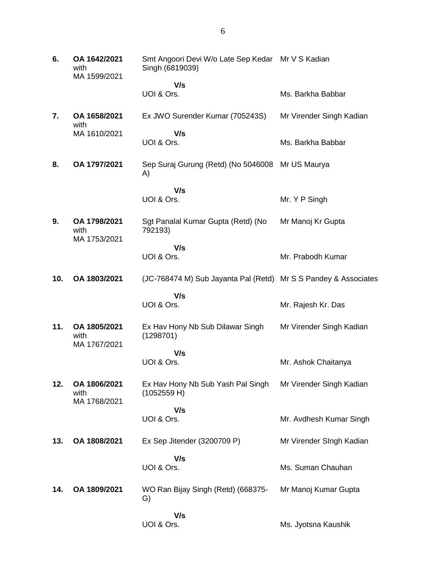**6. OA 1642/2021** with MA 1599/2021 Smt Angoori Devi W/o Late Sep Kedar Mr V S Kadian Singh (6819039)  **V/s** UOI & Ors. Ms. Barkha Babbar **7. OA 1658/2021** with MA 1610/2021 Ex JWO Surender Kumar (705243S)  **V/s** UOI & Ors. Mr Virender Singh Kadian Ms. Barkha Babbar **8. OA 1797/2021** Sep Suraj Gurung (Retd) (No 5046008 Mr US Maurya A)  **V/s** UOI & Ors. Mr. Y P Singh **9. OA 1798/2021** with MA 1753/2021 Sgt Panalal Kumar Gupta (Retd) (No 792193)  **V/s** UOI & Ors. Mr Manoj Kr Gupta Mr. Prabodh Kumar **10. OA 1803/2021** (JC-768474 M) Sub Jayanta Pal (Retd) Mr S S Pandey & Associates  **V/s** UOI & Ors. Mr. Rajesh Kr. Das **11. OA 1805/2021** with MA 1767/2021 Ex Hav Hony Nb Sub Dilawar Singh (1298701)  **V/s** UOI & Ors. Mr Virender Singh Kadian Mr. Ashok Chaitanya **12. OA 1806/2021** with MA 1768/2021 Ex Hav Hony Nb Sub Yash Pal Singh (1052559 H)  **V/s** UOI & Ors. Mr Virender Singh Kadian Mr. Avdhesh Kumar Singh **13. OA 1808/2021** Ex Sep Jitender (3200709 P)  **V/s** UOI & Ors. Mr Virender SIngh Kadian Ms. Suman Chauhan **14. OA 1809/2021** WO Ran Bijay Singh (Retd) (668375- G)  **V/s** UOI & Ors. Mr Manoj Kumar Gupta Ms. Jyotsna Kaushik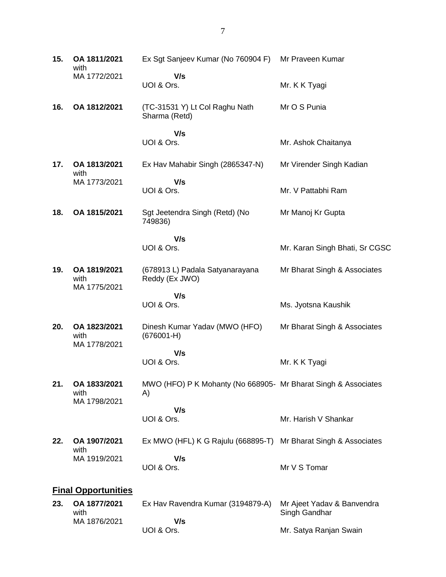| 15. | OA 1811/2021<br>with                 | Ex Sgt Sanjeev Kumar (No 760904 F)                                   | Mr Praveen Kumar                            |
|-----|--------------------------------------|----------------------------------------------------------------------|---------------------------------------------|
|     | MA 1772/2021                         | V/s<br>UOI & Ors.                                                    | Mr. K K Tyagi                               |
| 16. | OA 1812/2021                         | (TC-31531 Y) Lt Col Raghu Nath<br>Sharma (Retd)                      | Mr O S Punia                                |
|     |                                      | V/s<br>UOI & Ors.                                                    | Mr. Ashok Chaitanya                         |
| 17. | OA 1813/2021                         | Ex Hav Mahabir Singh (2865347-N)                                     | Mr Virender Singh Kadian                    |
|     | with<br>MA 1773/2021                 | V/s<br>UOI & Ors.                                                    | Mr. V Pattabhi Ram                          |
| 18. | OA 1815/2021                         | Sgt Jeetendra Singh (Retd) (No<br>749836)                            | Mr Manoj Kr Gupta                           |
|     |                                      | V/s<br>UOI & Ors.                                                    | Mr. Karan Singh Bhati, Sr CGSC              |
| 19. | OA 1819/2021<br>with<br>MA 1775/2021 | (678913 L) Padala Satyanarayana<br>Reddy (Ex JWO)                    | Mr Bharat Singh & Associates                |
|     |                                      | V/s<br>UOI & Ors.                                                    | Ms. Jyotsna Kaushik                         |
| 20. | OA 1823/2021<br>with<br>MA 1778/2021 | Dinesh Kumar Yadav (MWO (HFO)<br>$(676001-H)$                        | Mr Bharat Singh & Associates                |
|     |                                      | V/s<br>UOI & Ors.                                                    | Mr. K K Tyagi                               |
| 21. | OA 1833/2021<br>with<br>MA 1798/2021 | MWO (HFO) P K Mohanty (No 668905- Mr Bharat Singh & Associates<br>A) |                                             |
|     |                                      | V/s<br>UOI & Ors.                                                    | Mr. Harish V Shankar                        |
| 22. | OA 1907/2021<br>with                 | Ex MWO (HFL) K G Rajulu (668895-T)                                   | Mr Bharat Singh & Associates                |
|     | MA 1919/2021                         | V/s<br>UOI & Ors.                                                    | Mr V S Tomar                                |
|     | <b>Final Opportunities</b>           |                                                                      |                                             |
| 23. | OA 1877/2021<br>with<br>MA 1876/2021 | Ex Hav Ravendra Kumar (3194879-A)<br>V/s                             | Mr Ajeet Yadav & Banvendra<br>Singh Gandhar |
|     |                                      | UOI & Ors.                                                           | Mr. Satya Ranjan Swain                      |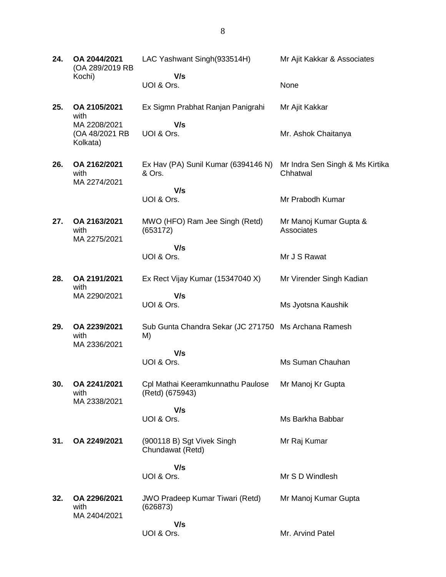| 24. | OA 2044/2021<br>(OA 289/2019 RB                                    | LAC Yashwant Singh(933514H)                                | Mr Ajit Kakkar & Associates                 |
|-----|--------------------------------------------------------------------|------------------------------------------------------------|---------------------------------------------|
|     | Kochi)                                                             | V/s<br>UOI & Ors.                                          | None                                        |
| 25. | OA 2105/2021<br>with<br>MA 2208/2021<br>(OA 48/2021 RB<br>Kolkata) | Ex Sigmn Prabhat Ranjan Panigrahi                          | Mr Ajit Kakkar                              |
|     |                                                                    | V/s<br>UOI & Ors.                                          | Mr. Ashok Chaitanya                         |
| 26. | OA 2162/2021<br>with<br>MA 2274/2021                               | Ex Hav (PA) Sunil Kumar (6394146 N)<br>& Ors.              | Mr Indra Sen Singh & Ms Kirtika<br>Chhatwal |
|     |                                                                    | V/s<br>UOI & Ors.                                          | Mr Prabodh Kumar                            |
| 27. | OA 2163/2021<br>with<br>MA 2275/2021                               | MWO (HFO) Ram Jee Singh (Retd)<br>(653172)                 | Mr Manoj Kumar Gupta &<br>Associates        |
|     |                                                                    | V/s<br>UOI & Ors.                                          | Mr J S Rawat                                |
| 28. | OA 2191/2021<br>with<br>MA 2290/2021                               | Ex Rect Vijay Kumar (15347040 X)                           | Mr Virender Singh Kadian                    |
|     |                                                                    | V/s<br>UOI & Ors.                                          | Ms Jyotsna Kaushik                          |
| 29. | OA 2239/2021<br>with<br>MA 2336/2021                               | Sub Gunta Chandra Sekar (JC 271750 Ms Archana Ramesh<br>M) |                                             |
|     |                                                                    | V/s<br>UOI & Ors.                                          | Ms Suman Chauhan                            |
| 30. | OA 2241/2021<br>with<br>MA 2338/2021                               | Cpl Mathai Keeramkunnathu Paulose<br>(Retd) (675943)       | Mr Manoj Kr Gupta                           |
|     |                                                                    | V/s<br>UOI & Ors.                                          | Ms Barkha Babbar                            |
|     |                                                                    |                                                            |                                             |
| 31. | OA 2249/2021                                                       | (900118 B) Sgt Vivek Singh<br>Chundawat (Retd)             | Mr Raj Kumar                                |
|     |                                                                    | V/s<br>UOI & Ors.                                          | Mr S D Windlesh                             |
| 32. | OA 2296/2021<br>with<br>MA 2404/2021                               | <b>JWO Pradeep Kumar Tiwari (Retd)</b><br>(626873)         | Mr Manoj Kumar Gupta                        |
|     |                                                                    | V/s<br>UOI & Ors.                                          | Mr. Arvind Patel                            |